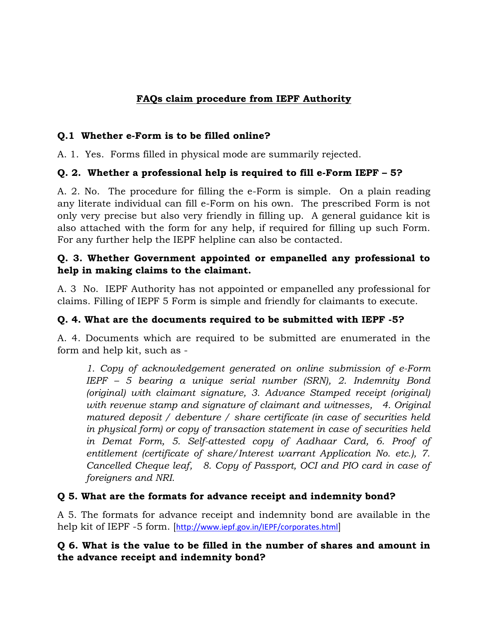# **FAQs claim procedure from IEPF Authority**

#### **Q.1 Whether e-Form is to be filled online?**

A. 1. Yes. Forms filled in physical mode are summarily rejected.

### **Q. 2. Whether a professional help is required to fill e-Form IEPF – 5?**

A. 2. No. The procedure for filling the e-Form is simple. On a plain reading any literate individual can fill e-Form on his own. The prescribed Form is not only very precise but also very friendly in filling up. A general guidance kit is also attached with the form for any help, if required for filling up such Form. For any further help the IEPF helpline can also be contacted.

#### **Q. 3. Whether Government appointed or empanelled any professional to help in making claims to the claimant.**

A. 3 No. IEPF Authority has not appointed or empanelled any professional for claims. Filling of IEPF 5 Form is simple and friendly for claimants to execute.

# **Q. 4. What are the documents required to be submitted with IEPF -5?**

A. 4. Documents which are required to be submitted are enumerated in the form and help kit, such as -

*1. Copy of acknowledgement generated on online submission of e-Form IEPF – 5 bearing a unique serial number (SRN), 2. Indemnity Bond (original) with claimant signature, 3. Advance Stamped receipt (original) with revenue stamp and signature of claimant and witnesses, 4. Original matured deposit / debenture / share certificate (in case of securities held in physical form) or copy of transaction statement in case of securities held in Demat Form, 5. Self-attested copy of Aadhaar Card, 6. Proof of entitlement (certificate of share/Interest warrant Application No. etc.), 7. Cancelled Cheque leaf, 8. Copy of Passport, OCI and PIO card in case of foreigners and NRI.* 

# **Q 5. What are the formats for advance receipt and indemnity bond?**

A 5. The formats for advance receipt and indemnity bond are available in the help kit of IEPF -5 form. [<http://www.iepf.gov.in/IEPF/corporates.html>]

### **Q 6. What is the value to be filled in the number of shares and amount in the advance receipt and indemnity bond?**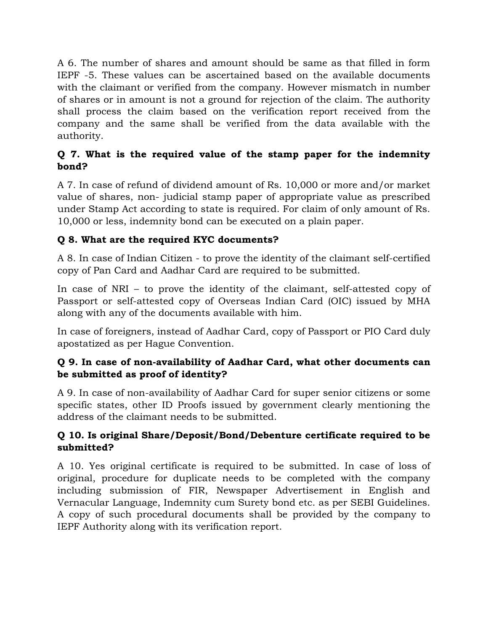A 6. The number of shares and amount should be same as that filled in form IEPF -5. These values can be ascertained based on the available documents with the claimant or verified from the company. However mismatch in number of shares or in amount is not a ground for rejection of the claim. The authority shall process the claim based on the verification report received from the company and the same shall be verified from the data available with the authority.

# **Q 7. What is the required value of the stamp paper for the indemnity bond?**

A 7. In case of refund of dividend amount of Rs. 10,000 or more and/or market value of shares, non- judicial stamp paper of appropriate value as prescribed under Stamp Act according to state is required. For claim of only amount of Rs. 10,000 or less, indemnity bond can be executed on a plain paper.

# **Q 8. What are the required KYC documents?**

A 8. In case of Indian Citizen - to prove the identity of the claimant self-certified copy of Pan Card and Aadhar Card are required to be submitted.

In case of NRI – to prove the identity of the claimant, self-attested copy of Passport or self-attested copy of Overseas Indian Card (OIC) issued by MHA along with any of the documents available with him.

In case of foreigners, instead of Aadhar Card, copy of Passport or PIO Card duly apostatized as per Hague Convention.

# **Q 9. In case of non-availability of Aadhar Card, what other documents can be submitted as proof of identity?**

A 9. In case of non-availability of Aadhar Card for super senior citizens or some specific states, other ID Proofs issued by government clearly mentioning the address of the claimant needs to be submitted.

### **Q 10. Is original Share/Deposit/Bond/Debenture certificate required to be submitted?**

A 10. Yes original certificate is required to be submitted. In case of loss of original, procedure for duplicate needs to be completed with the company including submission of FIR, Newspaper Advertisement in English and Vernacular Language, Indemnity cum Surety bond etc. as per SEBI Guidelines. A copy of such procedural documents shall be provided by the company to IEPF Authority along with its verification report.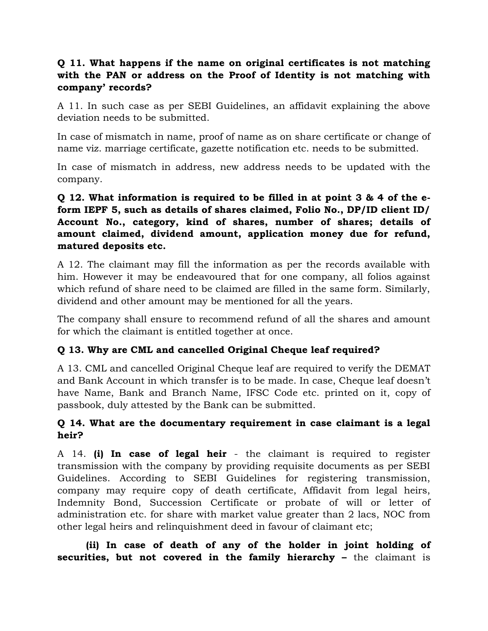#### **Q 11. What happens if the name on original certificates is not matching with the PAN or address on the Proof of Identity is not matching with company' records?**

A 11. In such case as per SEBI Guidelines, an affidavit explaining the above deviation needs to be submitted.

In case of mismatch in name, proof of name as on share certificate or change of name viz. marriage certificate, gazette notification etc. needs to be submitted.

In case of mismatch in address, new address needs to be updated with the company.

#### **Q 12. What information is required to be filled in at point 3 & 4 of the eform IEPF 5, such as details of shares claimed, Folio No., DP/ID client ID/ Account No., category, kind of shares, number of shares; details of amount claimed, dividend amount, application money due for refund, matured deposits etc.**

A 12. The claimant may fill the information as per the records available with him. However it may be endeavoured that for one company, all folios against which refund of share need to be claimed are filled in the same form. Similarly, dividend and other amount may be mentioned for all the years.

The company shall ensure to recommend refund of all the shares and amount for which the claimant is entitled together at once.

# **Q 13. Why are CML and cancelled Original Cheque leaf required?**

A 13. CML and cancelled Original Cheque leaf are required to verify the DEMAT and Bank Account in which transfer is to be made. In case, Cheque leaf doesn't have Name, Bank and Branch Name, IFSC Code etc. printed on it, copy of passbook, duly attested by the Bank can be submitted.

#### **Q 14. What are the documentary requirement in case claimant is a legal heir?**

A 14. **(i) In case of legal heir** - the claimant is required to register transmission with the company by providing requisite documents as per SEBI Guidelines. According to SEBI Guidelines for registering transmission, company may require copy of death certificate, Affidavit from legal heirs, Indemnity Bond, Succession Certificate or probate of will or letter of administration etc. for share with market value greater than 2 lacs, NOC from other legal heirs and relinquishment deed in favour of claimant etc;

**(ii) In case of death of any of the holder in joint holding of securities, but not covered in the family hierarchy –** the claimant is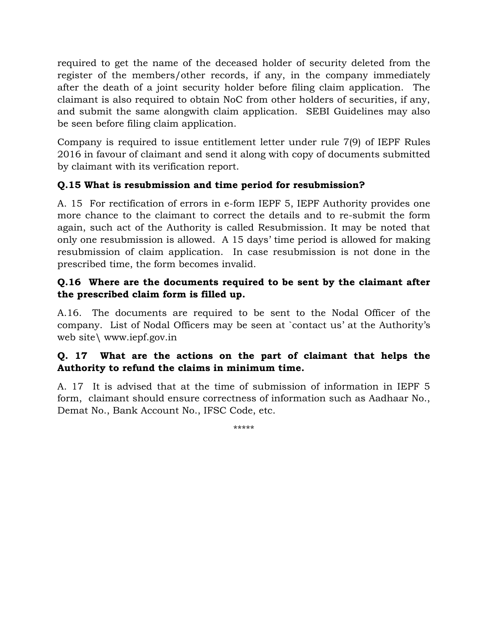required to get the name of the deceased holder of security deleted from the register of the members/other records, if any, in the company immediately after the death of a joint security holder before filing claim application. The claimant is also required to obtain NoC from other holders of securities, if any, and submit the same alongwith claim application. SEBI Guidelines may also be seen before filing claim application.

Company is required to issue entitlement letter under rule 7(9) of IEPF Rules 2016 in favour of claimant and send it along with copy of documents submitted by claimant with its verification report.

# **Q.15 What is resubmission and time period for resubmission?**

A. 15 For rectification of errors in e-form IEPF 5, IEPF Authority provides one more chance to the claimant to correct the details and to re-submit the form again, such act of the Authority is called Resubmission. It may be noted that only one resubmission is allowed. A 15 days' time period is allowed for making resubmission of claim application. In case resubmission is not done in the prescribed time, the form becomes invalid.

# **Q.16 Where are the documents required to be sent by the claimant after the prescribed claim form is filled up.**

A.16. The documents are required to be sent to the Nodal Officer of the company. List of Nodal Officers may be seen at `contact us' at the Authority's web site\ www.iepf.gov.in

### **Q. 17 What are the actions on the part of claimant that helps the Authority to refund the claims in minimum time.**

A. 17 It is advised that at the time of submission of information in IEPF 5 form, claimant should ensure correctness of information such as Aadhaar No., Demat No., Bank Account No., IFSC Code, etc.

\*\*\*\*\*